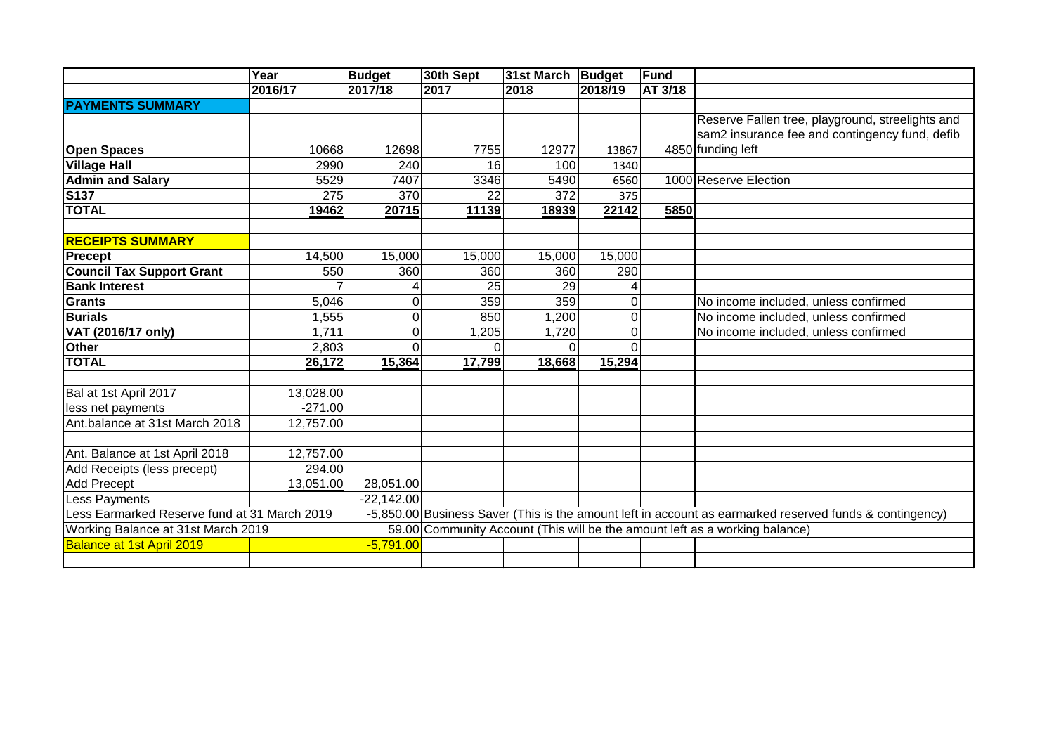|                                              | Year                                                                                                              | Budget                                                                                                  | 30th Sept | 31st March   Budget |          | Fund    |                                                  |  |
|----------------------------------------------|-------------------------------------------------------------------------------------------------------------------|---------------------------------------------------------------------------------------------------------|-----------|---------------------|----------|---------|--------------------------------------------------|--|
|                                              | 2016/17                                                                                                           | 2017/18                                                                                                 | 2017      | 2018                | 2018/19  | AT 3/18 |                                                  |  |
| <b>PAYMENTS SUMMARY</b>                      |                                                                                                                   |                                                                                                         |           |                     |          |         |                                                  |  |
|                                              |                                                                                                                   |                                                                                                         |           |                     |          |         | Reserve Fallen tree, playground, streelights and |  |
|                                              |                                                                                                                   |                                                                                                         |           |                     |          |         | sam2 insurance fee and contingency fund, defib   |  |
| <b>Open Spaces</b>                           | 10668                                                                                                             | 12698                                                                                                   | 7755      | 12977               | 13867    |         | 4850 funding left                                |  |
| <b>Village Hall</b>                          | 2990                                                                                                              | 240                                                                                                     | 16        | 100                 | 1340     |         |                                                  |  |
| <b>Admin and Salary</b>                      | 5529                                                                                                              | 7407                                                                                                    | 3346      | 5490                | 6560     |         | 1000 Reserve Election                            |  |
| <b>S137</b>                                  | 275                                                                                                               | 370                                                                                                     | 22        | 372                 | 375      |         |                                                  |  |
| <b>TOTAL</b>                                 | 19462                                                                                                             | 20715                                                                                                   | 11139     | 18939               | 22142    | 5850    |                                                  |  |
|                                              |                                                                                                                   |                                                                                                         |           |                     |          |         |                                                  |  |
| <b>RECEIPTS SUMMARY</b>                      |                                                                                                                   |                                                                                                         |           |                     |          |         |                                                  |  |
| <b>Precept</b>                               | 14,500                                                                                                            | 15,000                                                                                                  | 15,000    | 15,000              | 15,000   |         |                                                  |  |
| <b>Council Tax Support Grant</b>             | 550                                                                                                               | 360                                                                                                     | 360       | 360                 | 290      |         |                                                  |  |
| <b>Bank Interest</b>                         |                                                                                                                   |                                                                                                         | 25        | 29                  |          |         |                                                  |  |
| <b>Grants</b>                                | 5,046                                                                                                             | 0                                                                                                       | 359       | 359                 | 0        |         | No income included, unless confirmed             |  |
| <b>Burials</b>                               | 1,555                                                                                                             | 0                                                                                                       | 850       | 1,200               | 0        |         | No income included, unless confirmed             |  |
| VAT (2016/17 only)                           | 1,711                                                                                                             | 0                                                                                                       | ,205      | 1,720               | 0        |         | No income included, unless confirmed             |  |
| <b>Other</b>                                 | 2,803                                                                                                             | 0                                                                                                       | $\Omega$  | ΩI                  | $\Omega$ |         |                                                  |  |
| <b>TOTAL</b>                                 | 26,172                                                                                                            | 15,364                                                                                                  | 17,799    | 18,668              | 15,294   |         |                                                  |  |
|                                              |                                                                                                                   |                                                                                                         |           |                     |          |         |                                                  |  |
| Bal at 1st April 2017                        | 13,028.00                                                                                                         |                                                                                                         |           |                     |          |         |                                                  |  |
| less net payments                            | $-271.00$                                                                                                         |                                                                                                         |           |                     |          |         |                                                  |  |
| Ant.balance at 31st March 2018               | 12,757.00                                                                                                         |                                                                                                         |           |                     |          |         |                                                  |  |
|                                              |                                                                                                                   |                                                                                                         |           |                     |          |         |                                                  |  |
| Ant. Balance at 1st April 2018               | 12,757.00                                                                                                         |                                                                                                         |           |                     |          |         |                                                  |  |
| Add Receipts (less precept)                  | 294.00                                                                                                            |                                                                                                         |           |                     |          |         |                                                  |  |
| <b>Add Precept</b>                           | 13,051.00                                                                                                         | 28,051.00                                                                                               |           |                     |          |         |                                                  |  |
| Less Payments                                |                                                                                                                   | $-22,142.00$                                                                                            |           |                     |          |         |                                                  |  |
| Less Earmarked Reserve fund at 31 March 2019 |                                                                                                                   | -5,850.00 Business Saver (This is the amount left in account as earmarked reserved funds & contingency) |           |                     |          |         |                                                  |  |
|                                              | 59.00 Community Account (This will be the amount left as a working balance)<br>Working Balance at 31st March 2019 |                                                                                                         |           |                     |          |         |                                                  |  |
| Balance at 1st April 2019                    |                                                                                                                   | $-5,791.00$                                                                                             |           |                     |          |         |                                                  |  |
|                                              |                                                                                                                   |                                                                                                         |           |                     |          |         |                                                  |  |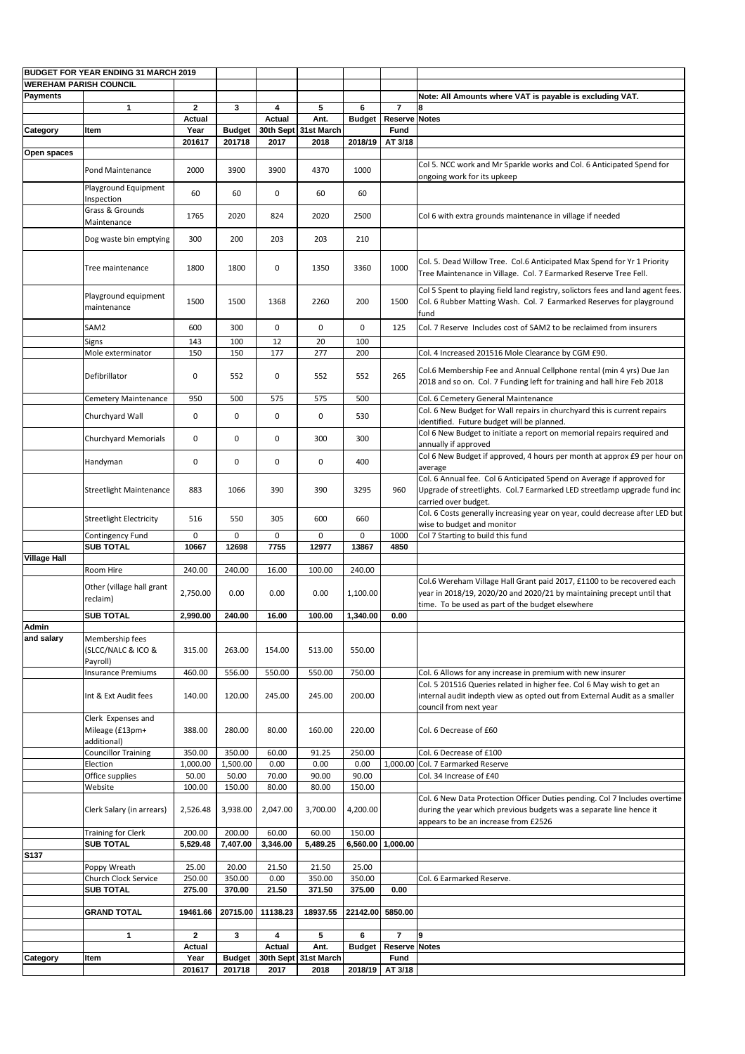| <b>BUDGET FOR YEAR ENDING 31 MARCH 2019</b> |                                                      |                |               |               |                      |                   |                      |                                                                                                                                                                                                      |
|---------------------------------------------|------------------------------------------------------|----------------|---------------|---------------|----------------------|-------------------|----------------------|------------------------------------------------------------------------------------------------------------------------------------------------------------------------------------------------------|
| <b>WEREHAM PARISH COUNCIL</b>               |                                                      |                |               |               |                      |                   |                      |                                                                                                                                                                                                      |
| <b>Payments</b>                             |                                                      |                |               |               |                      |                   |                      | Note: All Amounts where VAT is payable is excluding VAT.                                                                                                                                             |
|                                             | $\mathbf 1$                                          | $\mathbf{2}$   | $\mathbf{3}$  | 4             | 5                    | 6                 | $\overline{7}$       |                                                                                                                                                                                                      |
|                                             |                                                      | <b>Actual</b>  |               | <b>Actual</b> | Ant.                 | <b>Budget</b>     | <b>Reserve Notes</b> |                                                                                                                                                                                                      |
| Category                                    | <b>I</b> tem                                         | Year           | <b>Budget</b> |               | 30th Sept 31st March |                   | <b>Fund</b>          |                                                                                                                                                                                                      |
|                                             |                                                      | 201617         | 201718        | 2017          | 2018                 | 2018/19           | AT 3/18              |                                                                                                                                                                                                      |
| Open spaces                                 |                                                      |                |               |               |                      |                   |                      |                                                                                                                                                                                                      |
|                                             | <b>Pond Maintenance</b>                              | 2000           | 3900          | 3900          | 4370                 | 1000              |                      | Col 5. NCC work and Mr Sparkle works and Col. 6 Anticipated Spend for<br>ongoing work for its upkeep                                                                                                 |
|                                             | Playground Equipment<br>Inspection                   | 60             | 60            | 0             | 60                   | 60                |                      |                                                                                                                                                                                                      |
|                                             | Grass & Grounds<br>Maintenance                       | 1765           | 2020          | 824           | 2020                 | 2500              |                      | Col 6 with extra grounds maintenance in village if needed                                                                                                                                            |
|                                             | Dog waste bin emptying                               | 300            | 200           | 203           | 203                  | 210               |                      |                                                                                                                                                                                                      |
|                                             | Tree maintenance                                     | 1800           | 1800          | 0             | 1350                 | 3360              | 1000                 | Col. 5. Dead Willow Tree. Col.6 Anticipated Max Spend for Yr 1 Priority<br>Tree Maintenance in Village. Col. 7 Earmarked Reserve Tree Fell.                                                          |
|                                             | Playground equipment<br>maintenance                  | 1500           | 1500          | 1368          | 2260                 | 200               | 1500                 | Col 5 Spent to playing field land registry, solictors fees and land agent fees.<br>Col. 6 Rubber Matting Wash. Col. 7 Earmarked Reserves for playground<br>fund                                      |
|                                             | SAM2                                                 | 600            | 300           | 0             | 0                    | 0                 | 125                  | Col. 7 Reserve Includes cost of SAM2 to be reclaimed from insurers                                                                                                                                   |
|                                             | Signs<br>Mole exterminator                           | 143<br>150     | 100<br>150    | 12<br>177     | 20<br>277            | 100<br>200        |                      | Col. 4 Increased 201516 Mole Clearance by CGM £90.                                                                                                                                                   |
|                                             | Defibrillator                                        | 0              | 552           | $\mathbf 0$   | 552                  | 552               | 265                  | Col.6 Membership Fee and Annual Cellphone rental (min 4 yrs) Due Jan<br>2018 and so on. Col. 7 Funding left for training and hall hire Feb 2018                                                      |
|                                             | <b>Cemetery Maintenance</b>                          | 950            | 500           | 575           | 575                  | 500               |                      | Col. 6 Cemetery General Maintenance                                                                                                                                                                  |
|                                             | Churchyard Wall                                      | 0              | 0             | 0             | 0                    | 530               |                      | Col. 6 New Budget for Wall repairs in churchyard this is current repairs<br>identified. Future budget will be planned.                                                                               |
|                                             | <b>Churchyard Memorials</b>                          | $\mathbf 0$    | 0             | 0             | 300                  | 300               |                      | Col 6 New Budget to initiate a report on memorial repairs required and<br>annually if approved                                                                                                       |
|                                             | Handyman                                             | 0              | 0             | $\mathbf 0$   | 0                    | 400               |                      | Col 6 New Budget if approved, 4 hours per month at approx £9 per hour on<br>average                                                                                                                  |
|                                             | <b>Streetlight Maintenance</b>                       | 883            | 1066          | 390           | 390                  | 3295              | 960                  | Col. 6 Annual fee. Col 6 Anticipated Spend on Average if approved for<br>Upgrade of streetlights. Col.7 Earmarked LED streetlamp upgrade fund inc<br>carried over budget.                            |
|                                             | <b>Streetlight Electricity</b>                       | 516            | 550           | 305           | 600                  | 660               |                      | Col. 6 Costs generally increasing year on year, could decrease after LED but<br>wise to budget and monitor                                                                                           |
|                                             | Contingency Fund                                     | 0              | $\mathbf 0$   | $\mathbf 0$   | $\mathbf 0$          | $\mathbf 0$       | 1000                 | Col 7 Starting to build this fund                                                                                                                                                                    |
|                                             | <b>SUB TOTAL</b>                                     | 10667          | 12698         | 7755          | 12977                | 13867             | 4850                 |                                                                                                                                                                                                      |
| <b>Village Hall</b>                         |                                                      |                |               |               |                      |                   |                      |                                                                                                                                                                                                      |
|                                             | <b>Room Hire</b>                                     | 240.00         | 240.00        | 16.00         | 100.00               | 240.00            |                      |                                                                                                                                                                                                      |
|                                             | Other (village hall grant<br>reclaim)                | 2,750.00       | 0.00          | 0.00          | 0.00                 | 1,100.00          |                      | Col.6 Wereham Village Hall Grant paid 2017, £1100 to be recovered each<br>year in 2018/19, 2020/20 and 2020/21 by maintaining precept until that<br>time. To be used as part of the budget elsewhere |
|                                             | <b>SUB TOTAL</b>                                     | 2,990.00       | 240.00        | 16.00         | 100.00               | 1,340.00          | 0.00                 |                                                                                                                                                                                                      |
| Admin<br>and salary                         | Membership fees<br>(SLCC/NALC & ICO &                | 315.00         | 263.00        | 154.00        | 513.00               | 550.00            |                      |                                                                                                                                                                                                      |
|                                             | Payroll)<br><b>Insurance Premiums</b>                | 460.00         | 556.00        | 550.00        | 550.00               | 750.00            |                      | Col. 6 Allows for any increase in premium with new insurer                                                                                                                                           |
|                                             | Int & Ext Audit fees                                 | 140.00         | 120.00        | 245.00        | 245.00               | 200.00            |                      | Col. 5 201516 Queries related in higher fee. Col 6 May wish to get an<br>internal audit indepth view as opted out from External Audit as a smaller<br>council from next year                         |
|                                             | Clerk Expenses and<br>Mileage (£13pm+<br>additional) | 388.00         | 280.00        | 80.00         | 160.00               | 220.00            |                      | Col. 6 Decrease of £60                                                                                                                                                                               |
|                                             | <b>Councillor Training</b>                           | 350.00         | 350.00        | 60.00         | 91.25                | 250.00            |                      | Col. 6 Decrease of £100                                                                                                                                                                              |
|                                             | Election                                             | 1,000.00       | 1,500.00      | 0.00          | 0.00                 | 0.00              |                      | 1,000.00 Col. 7 Earmarked Reserve                                                                                                                                                                    |
|                                             | Office supplies                                      | 50.00          | 50.00         | 70.00         | 90.00                | 90.00             |                      | Col. 34 Increase of £40                                                                                                                                                                              |
|                                             | Website                                              | 100.00         | 150.00        | 80.00         | 80.00                | 150.00            |                      |                                                                                                                                                                                                      |
|                                             | Clerk Salary (in arrears)                            | 2,526.48       | 3,938.00      | 2,047.00      | 3,700.00             | 4,200.00          |                      | Col. 6 New Data Protection Officer Duties pending. Col 7 Includes overtime  <br>during the year which previous budgets was a separate line hence it<br>appears to be an increase from £2526          |
|                                             | <b>Training for Clerk</b>                            | 200.00         | 200.00        | 60.00         | 60.00                | 150.00            |                      |                                                                                                                                                                                                      |
|                                             | <b>SUB TOTAL</b>                                     | 5,529.48       | 7,407.00      | 3,346.00      | 5,489.25             | 6,560.00 1,000.00 |                      |                                                                                                                                                                                                      |
| <b>S137</b>                                 |                                                      |                |               |               |                      |                   |                      |                                                                                                                                                                                                      |
|                                             | Poppy Wreath                                         | 25.00          | 20.00         | 21.50         | 21.50                | 25.00             |                      |                                                                                                                                                                                                      |
|                                             | <b>Church Clock Service</b>                          | 250.00         | 350.00        | 0.00          | 350.00               | 350.00            |                      | Col. 6 Earmarked Reserve.                                                                                                                                                                            |
|                                             | <b>SUB TOTAL</b>                                     | 275.00         | 370.00        | 21.50         | 371.50               | 375.00            | 0.00                 |                                                                                                                                                                                                      |
|                                             | <b>GRAND TOTAL</b>                                   | 19461.66       | 20715.00      | 11138.23      | 18937.55             | 22142.00 5850.00  |                      |                                                                                                                                                                                                      |
|                                             |                                                      |                |               |               |                      |                   |                      |                                                                                                                                                                                                      |
|                                             | 1                                                    | 2 <sup>1</sup> | $\mathbf{3}$  | 4             | $5\phantom{.0}$      | 6                 | $\overline{7}$       | 9                                                                                                                                                                                                    |
|                                             |                                                      | <b>Actual</b>  |               | <b>Actual</b> | Ant.                 | <b>Budget</b>     | <b>Reserve Notes</b> |                                                                                                                                                                                                      |
| Category                                    | <b>Item</b>                                          | Year           | <b>Budget</b> |               | 30th Sept 31st March |                   | <b>Fund</b>          |                                                                                                                                                                                                      |
|                                             |                                                      | 201617         | 201718        | 2017          | 2018                 |                   | 2018/19   AT 3/18    |                                                                                                                                                                                                      |